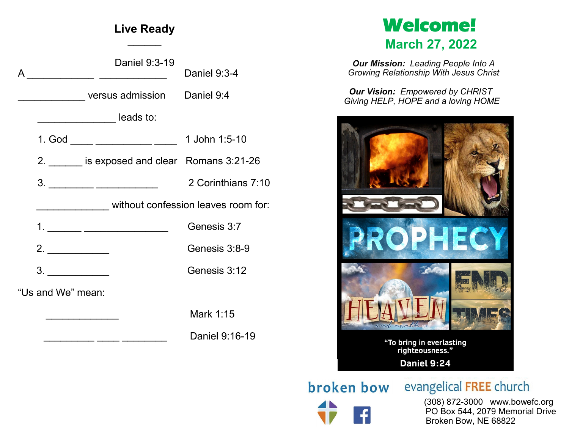# **Live Ready**  $\frac{1}{2}$

|                   | Daniel 9:3-19                                |                    |  |  |  |
|-------------------|----------------------------------------------|--------------------|--|--|--|
| A                 |                                              | Daniel 9:3-4       |  |  |  |
|                   | versus admission Daniel 9:4                  |                    |  |  |  |
|                   | <b>Leads to:</b>                             |                    |  |  |  |
|                   | 1. God _____ ___________ _____ 1 John 1:5-10 |                    |  |  |  |
|                   | 2. is exposed and clear Romans 3:21-26       |                    |  |  |  |
|                   |                                              | 2 Corinthians 7:10 |  |  |  |
|                   | without confession leaves room for:          |                    |  |  |  |
|                   | 1. _______ _______________________           | Genesis 3:7        |  |  |  |
|                   | 2. $\qquad \qquad$                           | Genesis 3:8-9      |  |  |  |
|                   | 3.                                           | Genesis 3:12       |  |  |  |
| "Us and We" mean: |                                              |                    |  |  |  |
|                   |                                              | Mark 1:15          |  |  |  |
|                   |                                              | Daniel 9:16-19     |  |  |  |

# **Welcome! March 27, 2022**

*Our Mission: Leading People Into A Growing Relationship With Jesus Christ*

*Our Vision: Empowered by CHRIST Giving HELP, HOPE and a loving HOME*



broken bow

evangelical FREE church

 (308) 872-3000 www.bowefc.org PO Box 544, 2079 Memorial Drive Broken Bow, NE 68822